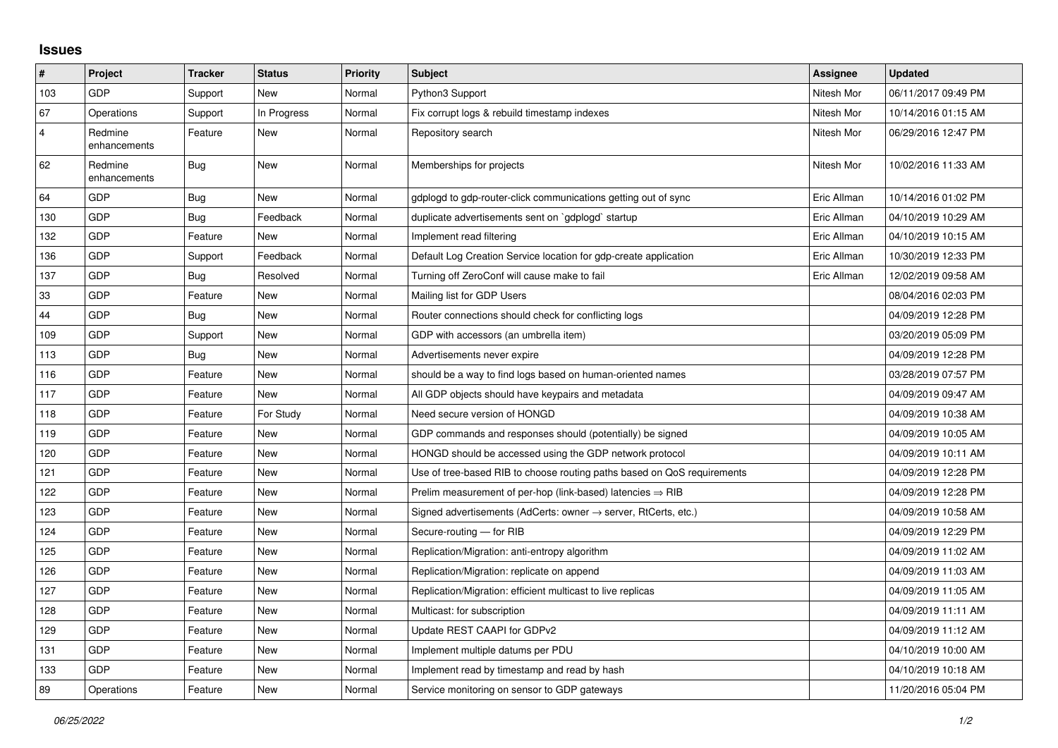## **Issues**

| $\vert$ #      | <b>Project</b>          | <b>Tracker</b> | <b>Status</b> | <b>Priority</b> | <b>Subject</b>                                                             | Assignee    | <b>Updated</b>      |
|----------------|-------------------------|----------------|---------------|-----------------|----------------------------------------------------------------------------|-------------|---------------------|
| 103            | <b>GDP</b>              | Support        | <b>New</b>    | Normal          | Python3 Support                                                            | Nitesh Mor  | 06/11/2017 09:49 PM |
| 67             | Operations              | Support        | In Progress   | Normal          | Fix corrupt logs & rebuild timestamp indexes                               | Nitesh Mor  | 10/14/2016 01:15 AM |
| $\overline{4}$ | Redmine<br>enhancements | Feature        | <b>New</b>    | Normal          | Repository search                                                          | Nitesh Mor  | 06/29/2016 12:47 PM |
| 62             | Redmine<br>enhancements | Bug            | <b>New</b>    | Normal          | Memberships for projects                                                   | Nitesh Mor  | 10/02/2016 11:33 AM |
| 64             | <b>GDP</b>              | Bug            | <b>New</b>    | Normal          | gdplogd to gdp-router-click communications getting out of sync             | Eric Allman | 10/14/2016 01:02 PM |
| 130            | GDP                     | Bug            | Feedback      | Normal          | duplicate advertisements sent on `gdplogd` startup                         | Eric Allman | 04/10/2019 10:29 AM |
| 132            | <b>GDP</b>              | Feature        | <b>New</b>    | Normal          | Implement read filtering                                                   | Eric Allman | 04/10/2019 10:15 AM |
| 136            | <b>GDP</b>              | Support        | Feedback      | Normal          | Default Log Creation Service location for gdp-create application           | Eric Allman | 10/30/2019 12:33 PM |
| 137            | <b>GDP</b>              | Bug            | Resolved      | Normal          | Turning off ZeroConf will cause make to fail                               | Eric Allman | 12/02/2019 09:58 AM |
| 33             | <b>GDP</b>              | Feature        | <b>New</b>    | Normal          | Mailing list for GDP Users                                                 |             | 08/04/2016 02:03 PM |
| 44             | GDP                     | <b>Bug</b>     | <b>New</b>    | Normal          | Router connections should check for conflicting logs                       |             | 04/09/2019 12:28 PM |
| 109            | <b>GDP</b>              | Support        | <b>New</b>    | Normal          | GDP with accessors (an umbrella item)                                      |             | 03/20/2019 05:09 PM |
| 113            | <b>GDP</b>              | Bug            | <b>New</b>    | Normal          | Advertisements never expire                                                |             | 04/09/2019 12:28 PM |
| 116            | <b>GDP</b>              | Feature        | New           | Normal          | should be a way to find logs based on human-oriented names                 |             | 03/28/2019 07:57 PM |
| 117            | <b>GDP</b>              | Feature        | <b>New</b>    | Normal          | All GDP objects should have keypairs and metadata                          |             | 04/09/2019 09:47 AM |
| 118            | <b>GDP</b>              | Feature        | For Study     | Normal          | Need secure version of HONGD                                               |             | 04/09/2019 10:38 AM |
| 119            | <b>GDP</b>              | Feature        | <b>New</b>    | Normal          | GDP commands and responses should (potentially) be signed                  |             | 04/09/2019 10:05 AM |
| 120            | <b>GDP</b>              | Feature        | <b>New</b>    | Normal          | HONGD should be accessed using the GDP network protocol                    |             | 04/09/2019 10:11 AM |
| 121            | <b>GDP</b>              | Feature        | <b>New</b>    | Normal          | Use of tree-based RIB to choose routing paths based on QoS requirements    |             | 04/09/2019 12:28 PM |
| 122            | <b>GDP</b>              | Feature        | New           | Normal          | Prelim measurement of per-hop (link-based) latencies $\Rightarrow$ RIB     |             | 04/09/2019 12:28 PM |
| 123            | <b>GDP</b>              | Feature        | <b>New</b>    | Normal          | Signed advertisements (AdCerts: owner $\rightarrow$ server, RtCerts, etc.) |             | 04/09/2019 10:58 AM |
| 124            | <b>GDP</b>              | Feature        | New           | Normal          | Secure-routing - for RIB                                                   |             | 04/09/2019 12:29 PM |
| 125            | GDP                     | Feature        | New           | Normal          | Replication/Migration: anti-entropy algorithm                              |             | 04/09/2019 11:02 AM |
| 126            | <b>GDP</b>              | Feature        | New           | Normal          | Replication/Migration: replicate on append                                 |             | 04/09/2019 11:03 AM |
| 127            | <b>GDP</b>              | Feature        | <b>New</b>    | Normal          | Replication/Migration: efficient multicast to live replicas                |             | 04/09/2019 11:05 AM |
| 128            | <b>GDP</b>              | Feature        | <b>New</b>    | Normal          | Multicast: for subscription                                                |             | 04/09/2019 11:11 AM |
| 129            | <b>GDP</b>              | Feature        | <b>New</b>    | Normal          | Update REST CAAPI for GDPv2                                                |             | 04/09/2019 11:12 AM |
| 131            | <b>GDP</b>              | Feature        | New           | Normal          | Implement multiple datums per PDU                                          |             | 04/10/2019 10:00 AM |
| 133            | <b>GDP</b>              | Feature        | <b>New</b>    | Normal          | Implement read by timestamp and read by hash                               |             | 04/10/2019 10:18 AM |
| 89             | Operations              | Feature        | <b>New</b>    | Normal          | Service monitoring on sensor to GDP gateways                               |             | 11/20/2016 05:04 PM |